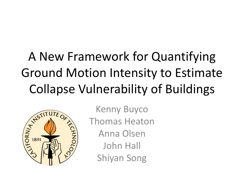# A New Framework for Quantifying Ground Motion Intensity to Estimate Collapse Vulnerability of Buildings



Kenny Buyco Thomas Heaton Anna Olsen John Hall Shiyan Song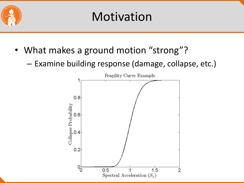

#### Motivation

- What makes a ground motion "strong"?
	- Examine building response (damage, collapse, etc.)

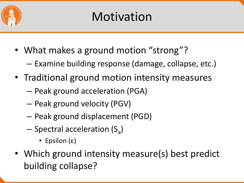

- What makes a ground motion "strong"?
	- Examine building response (damage, collapse, etc.)
- Traditional ground motion intensity measures
	- Peak ground acceleration (PGA)
	- Peak ground velocity (PGV)
	- Peak ground displacement (PGD)
	- Spectral acceleration (S<sub>a</sub>)
		- Epsilon (ε)
- Which ground intensity measure(s) best predict building collapse?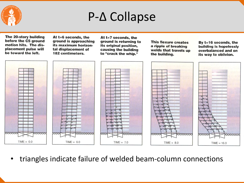

#### P-Δ Collapse



• triangles indicate failure of welded beam-column connections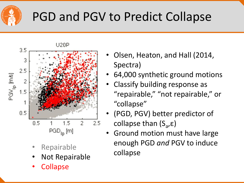

## PGD and PGV to Predict Collapse



- **Repairable**
- Not Repairable
- **Collapse**
- Olsen, Heaton, and Hall (2014, Spectra)
- 64,000 synthetic ground motions
- Classify building response as "repairable," "not repairable," or "collapse"
- (PGD, PGV) better predictor of collapse than (S<sub>a</sub>,ε)
- Ground motion must have large enough PGD *and* PGV to induce collapse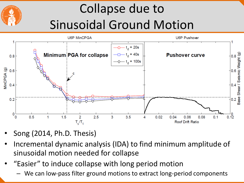# Collapse due to Sinusoidal Ground Motion



- Song (2014, Ph.D. Thesis)
- Incremental dynamic analysis (IDA) to find minimum amplitude of sinusoidal motion needed for collapse
- "Easier" to induce collapse with long period motion
	- We can low-pass filter ground motions to extract long-period components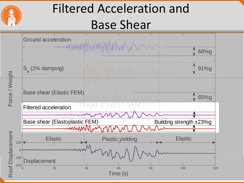

### Filtered Acceleration and Base Shear

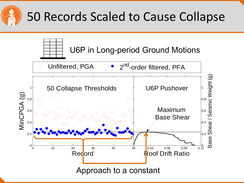

### 50 Records Scaled to Cause Collapse

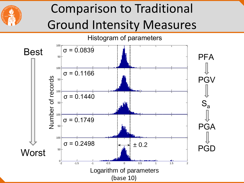

## Comparison to Traditional Ground Intensity Measures

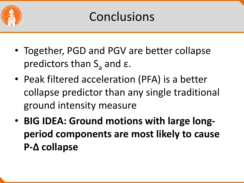

- Together, PGD and PGV are better collapse predictors than  $S$ <sub>a</sub> and ε.
- Peak filtered acceleration (PFA) is a better collapse predictor than any single traditional ground intensity measure
- **BIG IDEA: Ground motions with large longperiod components are most likely to cause P-Δ collapse**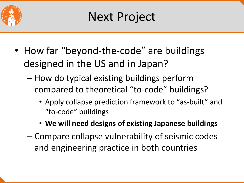

- How far "beyond-the-code" are buildings designed in the US and in Japan?
	- How do typical existing buildings perform compared to theoretical "to-code" buildings?
		- Apply collapse prediction framework to "as-built" and "to-code" buildings
		- **We will need designs of existing Japanese buildings**
	- Compare collapse vulnerability of seismic codes and engineering practice in both countries